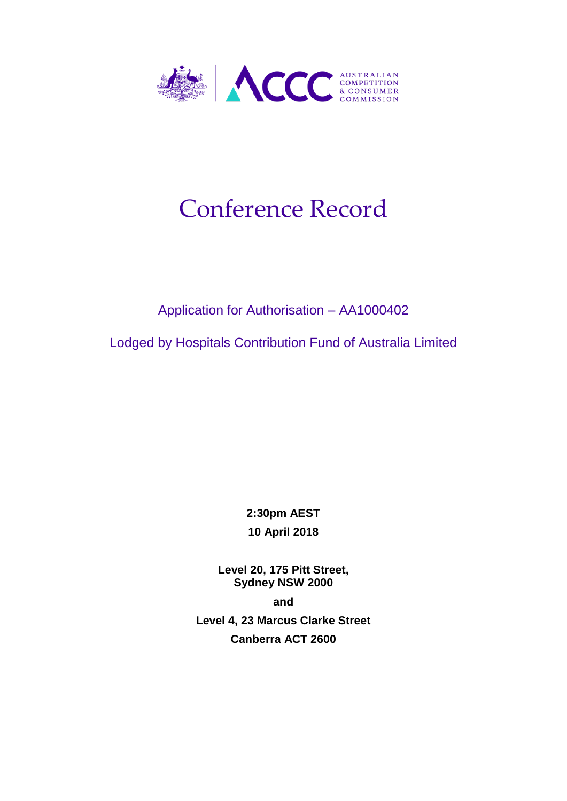

# Conference Record

### Application for Authorisation – AA1000402

Lodged by Hospitals Contribution Fund of Australia Limited

**2:30pm AEST 10 April 2018**

**Level 20, 175 Pitt Street, Sydney NSW 2000**

**and**

**Level 4, 23 Marcus Clarke Street Canberra ACT 2600**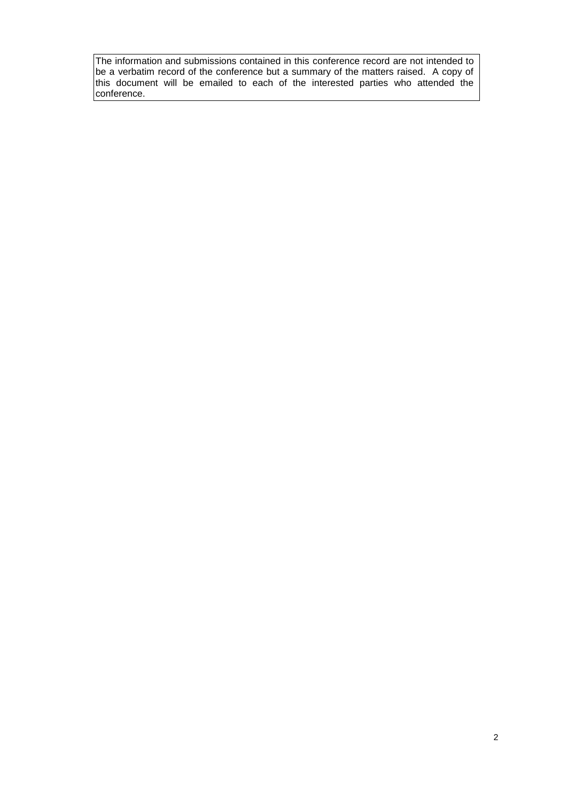The information and submissions contained in this conference record are not intended to be a verbatim record of the conference but a summary of the matters raised. A copy of this document will be emailed to each of the interested parties who attended the conference.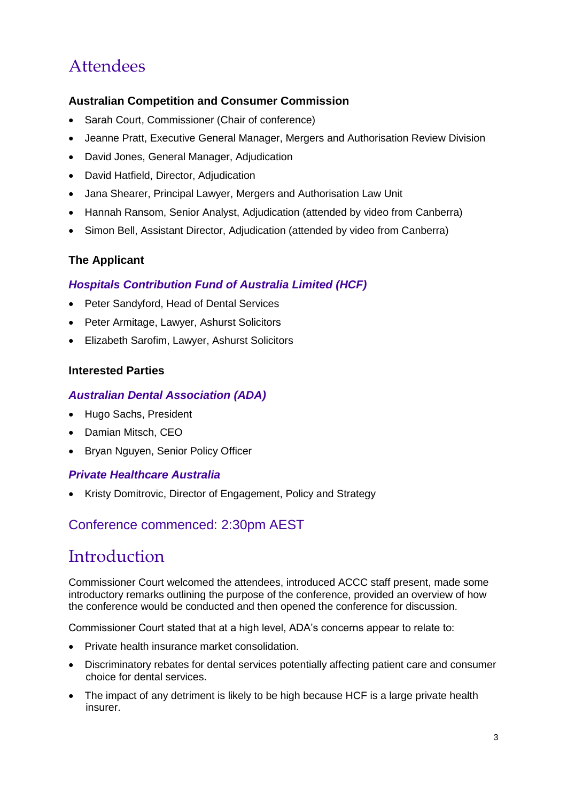# Attendees

#### **Australian Competition and Consumer Commission**

- Sarah Court, Commissioner (Chair of conference)
- Jeanne Pratt, Executive General Manager, Mergers and Authorisation Review Division
- David Jones, General Manager, Adjudication
- David Hatfield, Director, Adjudication
- Jana Shearer, Principal Lawyer, Mergers and Authorisation Law Unit
- Hannah Ransom, Senior Analyst, Adjudication (attended by video from Canberra)
- Simon Bell, Assistant Director, Adjudication (attended by video from Canberra)

#### **The Applicant**

#### *Hospitals Contribution Fund of Australia Limited (HCF)*

- Peter Sandyford, Head of Dental Services
- Peter Armitage, Lawyer, Ashurst Solicitors
- Elizabeth Sarofim, Lawyer, Ashurst Solicitors

#### **Interested Parties**

#### *Australian Dental Association (ADA)*

- Hugo Sachs, President
- Damian Mitsch, CEO
- Bryan Nguyen, Senior Policy Officer

#### *Private Healthcare Australia*

• Kristy Domitrovic, Director of Engagement, Policy and Strategy

#### Conference commenced: 2:30pm AEST

### Introduction

Commissioner Court welcomed the attendees, introduced ACCC staff present, made some introductory remarks outlining the purpose of the conference, provided an overview of how the conference would be conducted and then opened the conference for discussion.

Commissioner Court stated that at a high level, ADA's concerns appear to relate to:

- Private health insurance market consolidation.
- Discriminatory rebates for dental services potentially affecting patient care and consumer choice for dental services.
- The impact of any detriment is likely to be high because HCF is a large private health insurer.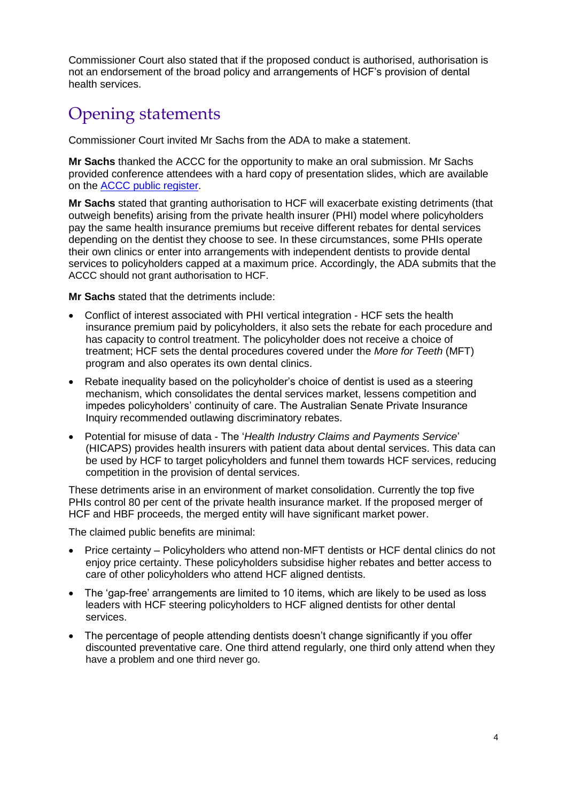Commissioner Court also stated that if the proposed conduct is authorised, authorisation is not an endorsement of the broad policy and arrangements of HCF's provision of dental health services.

### Opening statements

Commissioner Court invited Mr Sachs from the ADA to make a statement.

**Mr Sachs** thanked the ACCC for the opportunity to make an oral submission. Mr Sachs provided conference attendees with a hard copy of presentation slides, which are available on the [ACCC public register.](https://www.accc.gov.au/public-registers/authorisations-and-notifications-registers/authorisations-register/hospitals-contribution-fund-of-australia-limited)

**Mr Sachs** stated that granting authorisation to HCF will exacerbate existing detriments (that outweigh benefits) arising from the private health insurer (PHI) model where policyholders pay the same health insurance premiums but receive different rebates for dental services depending on the dentist they choose to see. In these circumstances, some PHIs operate their own clinics or enter into arrangements with independent dentists to provide dental services to policyholders capped at a maximum price. Accordingly, the ADA submits that the ACCC should not grant authorisation to HCF.

**Mr Sachs** stated that the detriments include:

- Conflict of interest associated with PHI vertical integration HCF sets the health insurance premium paid by policyholders, it also sets the rebate for each procedure and has capacity to control treatment. The policyholder does not receive a choice of treatment; HCF sets the dental procedures covered under the *More for Teeth* (MFT) program and also operates its own dental clinics.
- Rebate inequality based on the policyholder's choice of dentist is used as a steering mechanism, which consolidates the dental services market, lessens competition and impedes policyholders' continuity of care. The Australian Senate Private Insurance Inquiry recommended outlawing discriminatory rebates.
- Potential for misuse of data The '*Health Industry Claims and Payments Service*' (HICAPS) provides health insurers with patient data about dental services. This data can be used by HCF to target policyholders and funnel them towards HCF services, reducing competition in the provision of dental services.

These detriments arise in an environment of market consolidation. Currently the top five PHIs control 80 per cent of the private health insurance market. If the proposed merger of HCF and HBF proceeds, the merged entity will have significant market power.

The claimed public benefits are minimal:

- Price certainty Policyholders who attend non-MFT dentists or HCF dental clinics do not enjoy price certainty. These policyholders subsidise higher rebates and better access to care of other policyholders who attend HCF aligned dentists.
- The 'gap-free' arrangements are limited to 10 items, which are likely to be used as loss leaders with HCF steering policyholders to HCF aligned dentists for other dental services.
- The percentage of people attending dentists doesn't change significantly if you offer discounted preventative care. One third attend regularly, one third only attend when they have a problem and one third never go.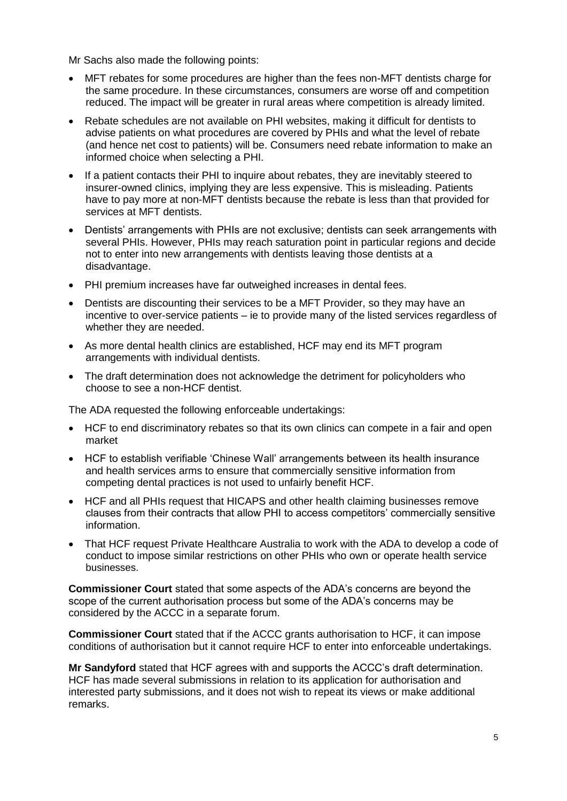Mr Sachs also made the following points:

- MFT rebates for some procedures are higher than the fees non-MFT dentists charge for the same procedure. In these circumstances, consumers are worse off and competition reduced. The impact will be greater in rural areas where competition is already limited.
- Rebate schedules are not available on PHI websites, making it difficult for dentists to advise patients on what procedures are covered by PHIs and what the level of rebate (and hence net cost to patients) will be. Consumers need rebate information to make an informed choice when selecting a PHI.
- If a patient contacts their PHI to inquire about rebates, they are inevitably steered to insurer-owned clinics, implying they are less expensive. This is misleading. Patients have to pay more at non-MFT dentists because the rebate is less than that provided for services at MFT dentists.
- Dentists' arrangements with PHIs are not exclusive; dentists can seek arrangements with several PHIs. However, PHIs may reach saturation point in particular regions and decide not to enter into new arrangements with dentists leaving those dentists at a disadvantage.
- PHI premium increases have far outweighed increases in dental fees.
- Dentists are discounting their services to be a MFT Provider, so they may have an incentive to over-service patients – ie to provide many of the listed services regardless of whether they are needed.
- As more dental health clinics are established, HCF may end its MFT program arrangements with individual dentists.
- The draft determination does not acknowledge the detriment for policyholders who choose to see a non-HCF dentist.

The ADA requested the following enforceable undertakings:

- HCF to end discriminatory rebates so that its own clinics can compete in a fair and open market
- HCF to establish verifiable 'Chinese Wall' arrangements between its health insurance and health services arms to ensure that commercially sensitive information from competing dental practices is not used to unfairly benefit HCF.
- HCF and all PHIs request that HICAPS and other health claiming businesses remove clauses from their contracts that allow PHI to access competitors' commercially sensitive information.
- That HCF request Private Healthcare Australia to work with the ADA to develop a code of conduct to impose similar restrictions on other PHIs who own or operate health service businesses.

**Commissioner Court** stated that some aspects of the ADA's concerns are beyond the scope of the current authorisation process but some of the ADA's concerns may be considered by the ACCC in a separate forum.

**Commissioner Court** stated that if the ACCC grants authorisation to HCF, it can impose conditions of authorisation but it cannot require HCF to enter into enforceable undertakings.

**Mr Sandyford** stated that HCF agrees with and supports the ACCC's draft determination. HCF has made several submissions in relation to its application for authorisation and interested party submissions, and it does not wish to repeat its views or make additional remarks.